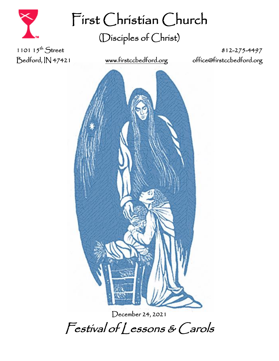

First Christian Church (Disciples of Christ)

1101  $15^{th}$  Street

812-275-4497 Bedford, IN 47421 [www.firstccbedford.org](http://www.firstccbedford.org/) [office@firstccbedford.org](mailto:office@firstccbedford.org) 



December 24, 2021 Festival of Lessons & Carols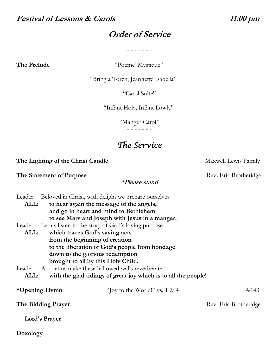### **Festival of Lessons & Carols 11:00 pm**

## **Order of Service**

**- - - - - - -**

**The Prelude** "Poeme' Mystique"

"Bring a Torch, Jeannette Isabella"

"Carol Suite"

"Infant Holy, Infant Lowly"

"Manger Carol"

**- - - - - - -**

# *The Service*

**The Lighting of the Christ Candle** Maxwell Lewis Family

**The Statement of Purpose** Rev. Eric Brotheridge

**Doxology**

Leader: Beloved in Christ, with delight we prepare ourselves

- **ALL: to hear again the message of the angels, and go in heart and mind to Bethlehem to see Mary and Joseph with Jesus in a manger.**
- Leader: Let us listen to the story of God's loving purpose
	- **ALL: which traces God's saving acts from the beginning of creation to the liberation of God's people from bondage down to the glorious redemption brought to all by this Holy Child.**

Leader: And let us make these hallowed walls reverberate

**ALL: with the glad tidings of great joy which is to all the people!**

| "Joy to the World!" vs. $1 < 4$ | #143                  |
|---------------------------------|-----------------------|
|                                 | Rev. Eric Brotheridge |
|                                 |                       |
|                                 |                       |

**\*Please stand**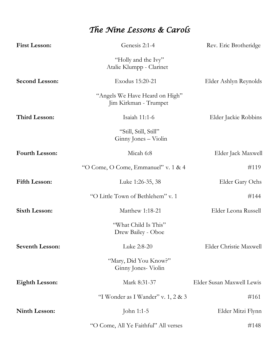# *The Nine Lessons & Carols*

| <b>First Lesson:</b>   | Genesis 2:1-4                                           | Rev. Eric Brotheridge     |
|------------------------|---------------------------------------------------------|---------------------------|
|                        | "Holly and the Ivy"<br>Atalie Klumpp - Clarinet         |                           |
| <b>Second Lesson:</b>  | Exodus 15:20-21                                         | Elder Ashlyn Reynolds     |
|                        | "Angels We Have Heard on High"<br>Jim Kirkman - Trumpet |                           |
| <b>Third Lesson:</b>   | Isaiah 11:1-6                                           | Elder Jackie Robbins      |
|                        | "Still, Still, Still"<br>Ginny Jones – Violin           |                           |
| <b>Fourth Lesson:</b>  | Micah 6:8                                               | Elder Jack Maxwell        |
|                        | "O Come, O Come, Emmanuel" v. 1 & 4                     | #119                      |
| <b>Fifth Lesson:</b>   | Luke 1:26-35, 38                                        | Elder Gary Ochs           |
|                        | "O Little Town of Bethlehem" v. 1                       | #144                      |
| <b>Sixth Lesson:</b>   | Matthew 1:18-21                                         | Elder Leona Russell       |
|                        | "What Child Is This"<br>Drew Bailey - Oboe              |                           |
| <b>Seventh Lesson:</b> | Luke 2:8-20                                             | Elder Christie Maxwell    |
|                        | "Mary, Did You Know?"<br>Ginny Jones- Violin            |                           |
| <b>Eighth Lesson:</b>  | Mark 8:31-37                                            | Elder Susan Maxwell Lewis |
|                        | "I Wonder as I Wander" v. 1, 2 & 3                      | #161                      |
| <b>Ninth Lesson:</b>   | John 1:1-5                                              | Elder Mitzi Flynn         |
|                        | "O Come, All Ye Faithful" All verses                    | #148                      |